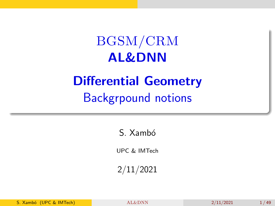## <span id="page-0-0"></span>BGSM/CRM AL&DNN

## Differential Geometry Backgrpound notions

S. Xambó

UPC & IMTech

2/11/2021

S. Xambó (UPC & IMTech)  $AL&DNN$  2/11/2021 1/49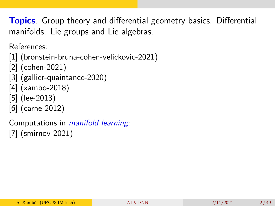**Topics**. Group theory and differential geometry basics. Differential manifolds. Lie groups and Lie algebras.

References:

```
[1] (bronstein-bruna-cohen-velickovic-2021)
```
[\[2\]](#page-46-1) (cohen-2021)

- [\[3\]](#page-46-2) (gallier-quaintance-2020)
- [\[4\]](#page-47-0) (xambo-2018)
- [\[5\]](#page-47-1) (lee-2013)
- [\[6\]](#page-47-2) (carne-2012)

Computations in manifold learning: [\[7\]](#page-48-1) (smirnov-2021)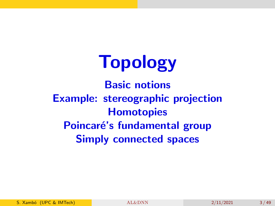# Topology

Basic notions Example: stereographic projection **Homotopies** Poincaré's fundamental group Simply connected spaces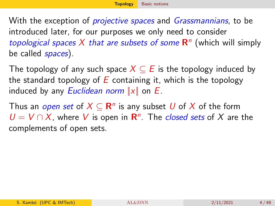<span id="page-3-0"></span>With the exception of *projective spaces* and *Grassmannians*, to be introduced later, for our purposes we only need to consider topological spaces X that are subsets of some  $\mathbb{R}^n$  (which will simply be called *spaces*).

The topology of any such space  $X \subseteq E$  is the topology induced by the standard topology of  $E$  containing it, which is the topology induced by any *Euclidean norm*  $||x||$  on *E*.

Thus an *open set* of  $X \subseteq \mathbf{R}^n$  is any subset  $U$  of  $X$  of the form  $U = V \cap X$ , where V is open in R<sup>n</sup>. The *closed sets* of X are the complements of open sets.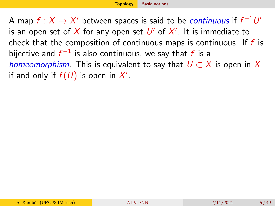A map  $f:X\to X'$  between spaces is said to be *continuous* if  $f^{-1}U'$ is an open set of  $X$  for any open set  $\mathit{U}'$  of  $X'.$  It is immediate to check that the composition of continuous maps is continuous. If  $f$  is bijective and  $f^{-1}$  is also continuous, we say that  $f$  is a homeomorphism. This is equivalent to say that  $U \subset X$  is open in X if and only if  $f(U)$  is open in  $X'$ .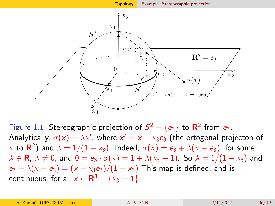<span id="page-5-0"></span>

Figure 1.1: Stereographic projection of  $S^2 - \{e_3\}$  to  $\mathsf{R}^2$  from  $e_3$ . Analytically,  $\sigma(x) = \lambda x'$ , where  $x' = x - x_3 e_3$  (the ortogonal projecton of  $\propto$  to  ${\sf R}^2)$  and  $\lambda=1/(1-\varkappa_3).$  Indeed,  $\sigma({\sf x})=e_3+\lambda({\sf x}-e_3)$ , for some  $\lambda \in \mathbf{R}$ ,  $\lambda \neq 0$ , and  $0 = e_3 \cdot \sigma(x) = 1 + \lambda(x_3 - 1)$ . So  $\lambda = 1/(1 - x_3)$  and  $e_3 + \lambda(x - e_3) = (x - x_3 e_3)/(1 - x_3)$  This map is defined, and is continuous, for all  $x \in \mathbf{R}^3 - \{x_3 = 1\}.$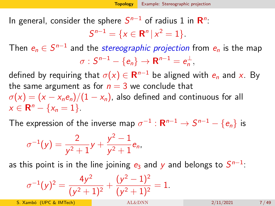In general, consider the sphere  $\mathcal{S}^{n-1}$  of radius 1 in  $\mathsf{R}^n$ :

 $S^{n-1} = \{x \in \mathbb{R}^n \mid x^2 = 1\}.$ 

Then  $e_n\in S^{n-1}$  and the *stereographic projection* from  $e_n$  is the map  $\sigma : S^{n-1} - \{e_n\} \rightarrow \mathbf{R}^{n-1} = e_n^{\perp},$ 

defined by requiring that  $\sigma(\mathsf{x})\in \mathsf{R}^{n-1}$  be aligned with  $e_n$  and  $\mathsf{x}.$  By the same argument as for  $n = 3$  we conclude that

 $\sigma(x) = (x - x_n e_n)/(1 - x_n)$ , also defined and continuous for all  $x \in \mathbf{R}^n - \{x_n = 1\}.$ 

The expression of the inverse map  $\sigma^{-1}:\mathbf{R}^{n-1}\to S^{n-1}-\{e_n\}$  is

$$
\sigma^{-1}(y) = \frac{2}{y^2+1}y + \frac{y^2-1}{y^2+1}e_n,
$$

as this point is in the line joining  $e_3$  and  $y$  and belongs to  $S^{n-1}$ :

$$
\sigma^{-1}(y)^2 = \frac{4y^2}{(y^2+1)^2} + \frac{(y^2-1)^2}{(y^2+1)^2} = 1.
$$

S. Xambó (UPC & IMTech) **[AL&DNN](#page-0-0)** 2/11/2021 7/49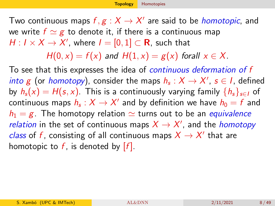<span id="page-7-0"></span>Two continuous maps  $f,g:X\to X'$  are said to be *homotopic*, and we write  $f \simeq g$  to denote it, if there is a continuous map  $H: I \times X \rightarrow X'$ , where  $I = [0,1] \subset \mathbf{R}$ , such that

 $H(0, x) = f(x)$  and  $H(1, x) = g(x)$  forall  $x \in X$ .

To see that this expresses the idea of continuous deformation of f *into g* (or *homotopy*), consider the maps  $h_s: X \rightarrow X'$ ,  $s \in I$ , defined by  $h_s(x) = H(s, x)$ . This is a continuously varying family  $\{h_s\}_{s\in I}$  of continuous maps  $h_\mathsf{s}: X \to X'$  and by definition we have  $h_0 = f$  and  $h_1 = g$ . The homotopy relation  $\simeq$  turns out to be an *equivalence relation* in the set of continuous maps  $X \rightarrow X'$ , and the *homotopy* class of f, consisting of all continuous maps  $X \to X'$  that are homotopic to f, is denoted by  $[f]$ .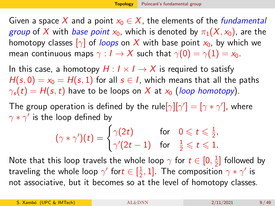<span id="page-8-0"></span>Given a space X and a point  $x_0 \in X$ , the elements of the *fundamental group* of X with *base point*  $x_0$ , which is denoted by  $\pi_1(X, x_0)$ , are the homotopy classes  $\lceil \gamma \rceil$  of loops on X with base point  $x_0$ , by which we mean continuous maps  $\gamma : I \to X$  such that  $\gamma(0) = \gamma(1) = x_0$ .

In this case, a homotopy  $H: I \times I \rightarrow X$  is required to satisfy  $H(s, 0) = x_0 = H(s, 1)$  for all  $s \in I$ , which means that all the paths  $\gamma_s(t) = H(s, t)$  have to be loops on X at  $x_0$  (loop homotopy).

The group operation is defined by the rule $[\gamma][\gamma'] = [\gamma * \gamma']$ , where  $\gamma * \gamma'$  is the loop defined by

$$
(\gamma * \gamma')(t) = \begin{cases} \gamma(2t) & \text{for} \quad 0 \leqslant t \leqslant \frac{1}{2}, \\ \gamma'(2t-1) & \text{for} \quad \frac{1}{2} \leqslant t \leqslant 1. \end{cases}
$$

Note that this loop travels the whole loop  $\gamma$  for  $t\in[0,\frac{1}{2}]$  $\frac{1}{2}$ ] followed by traveling the whole loop  $\gamma'$  for $t\in [\frac{1}{2}]$  $\frac{1}{2}$ , 1]. The composition  $\gamma * \gamma'$  is not associative, but it becomes so at the level of homotopy classes.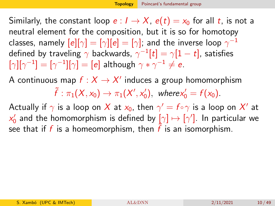Similarly, the constant loop  $e: I \to X$ ,  $e(t) = x_0$  for all t, is not a neutral element for the composition, but it is so for homotopy classes, namely  $[\![e]\!][\gamma]=[\gamma][\![e]=[\gamma];$  and the inverse loop  $\gamma^{-1}$ defined by traveling  $\gamma$  backwards,  $\gamma^{-1}[t] = \gamma[1-t]$ , satisfies  $[\gamma][\gamma^{-1}]=[\gamma^{-1}][\gamma]=[e]$  although  $\gamma*\gamma^{-1}\neq e$ .

A continuous map  $f: X \to X'$  induces a group homomorphism

 $\tilde{f}: \pi_1(X, x_0) \to \pi_1(X', x_0'), \text{ where } x_0' = f(x_0).$ 

Actually if  $\gamma$  is a loop on  $X$  at  $\mathsf{x}_0$ , then  $\gamma' = f \circ \gamma$  is a loop on  $X'$  at  $\mathsf{x}_0'$  and the homomorphism is defined by  $\left[\gamma\right] \mapsto \left[\gamma'\right]$ . In particular we see that if f is a homeomorphism, then  $\tilde{f}$  is an isomorphism.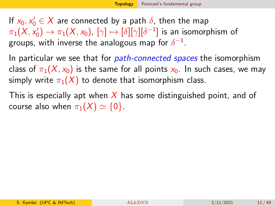If  $x_0, x'_0 \in X$  are connected by a path  $\delta$ , then the map  $\pi_1(X,\mathsf{x}_0')\to\pi_1(X,\mathsf{x}_0)$ ,  $[\gamma]\mapsto[\delta][\gamma][\delta^{-1}]$  is an isomorphism of groups, with inverse the analogous map for  $\delta^{-1}.$ 

In particular we see that for *path-connected spaces* the isomorphism class of  $\pi_1(X, x_0)$  is the same for all points  $x_0$ . In such cases, we may simply write  $\pi_1(X)$  to denote that isomorphism class.

This is especially apt when X has some distinguished point, and of course also when  $\pi_1(X) \simeq \{0\}$ .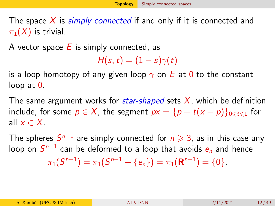<span id="page-11-0"></span>The space  $X$  is *simply connected* if and only if it is connected and  $\pi_1(X)$  is trivial.

A vector space  $E$  is simply connected, as

 $H(s,t) = (1-s)\gamma(t)$ 

is a loop homotopy of any given loop  $\gamma$  on E at 0 to the constant loop at 0.

The same argument works for *star-shaped* sets  $X$ , which be definition include, for some  $p \in X$ , the segment  $px = {p + t(x - p)}_{0 \le t \le 1}$  for all  $x \in X$ .

The spheres  $S^{n-1}$  are simply connected for  $n \geqslant 3$ , as in this case any loop on  $S^{n-1}$  can be deformed to a loop that avoids  $\bm{e_n}$  and hence  $\pi_1(S^{n-1}) = \pi_1(S^{n-1} - \{e_n\}) = \pi_1(\mathbf{R}^{n-1}) = \{0\}.$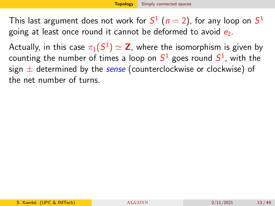This last argument does not work for  $S^1$   $(n=2)$ , for any loop on  $S^1$ going at least once round it cannot be deformed to avoid  $e_2$ .

Actually, in this case  $\pi_1(S^1)\simeq {\bf Z}$ , where the isomorphism is given by counting the number of times a loop on  $\mathcal{S}^1$  goes round  $\mathcal{S}^1$ , with the sign  $\pm$  determined by the sense (counterclockwise or clockwise) of the net number of turns.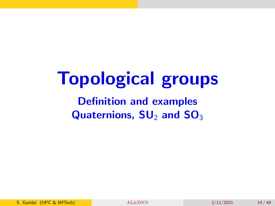# Topological groups

Definition and examples Quaternions,  $SU_2$  and  $SO_3$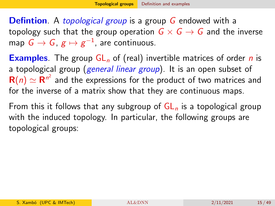<span id="page-14-0"></span>**Defintion**. A *topological group* is a group G endowed with a topology such that the group operation  $G \times G \rightarrow G$  and the inverse map  $\,G \to G,\, g \mapsto g^{-1},\,$  are continuous.

**Examples.** The group  $GL_n$  of (real) invertible matrices of order *n* is a topological group (general linear group). It is an open subset of  ${\bf R}(n)\simeq {\bf R}^{n^2}$  and the expressions for the product of two matrices and for the inverse of a matrix show that they are continuous maps.

From this it follows that any subgroup of  $GL_n$  is a topological group with the induced topology. In particular, the following groups are topological groups: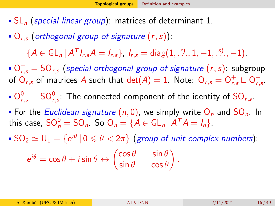- $\mathsf{SL}_n$  (special linear group): matrices of determinant 1.
- $\bullet$  O<sub>r,s</sub> (orthogonal group of signature  $(r, s)$ ):

 ${A \in GL_n | A^T l_{r,s} A = l_{r,s},}, l_{r,s} = diag(1, \dots, 1, -1, \dots, -1).$ 

 $\mathsf{O}_{r,s}^+ = \mathsf{SO}_{r,s}$  (special orthogonal group of signature  $(r,s)$ : subgroup of  $\overline{\mathrm{O}}_{r,s}$  of matrices  $A$  such that  $\det(A)=1.$  Note:  $\overline{\mathrm{O}}_{r,s}=\mathrm{O}_{r,s}^+\sqcup \mathrm{O}_{r,s}^ \frac{-}{r,s}$  .

- $O_{r,s}^0 = SO_{r,s}^0$ : The connected component of the identity of  $SO_{r,s}$ .
- For the Euclidean signature  $(n, 0)$ , we simply write  $O_n$  and  $SO_n$ . In this case,  $\mathsf{SO}_{n}^{0} = \mathsf{SO}_{n}$ . So  $\mathsf{O}_{n} = \{A \in \mathsf{GL}_{n} | A^{T}A = I_{n}\}.$
- $\mathsf{SO}_2\simeq \mathsf{U}_1=\{ \mathsf{e}^{i\theta}\, |\, 0\leqslant \theta< 2\pi\}$  (group of unit complex numbers):

$$
e^{i\theta} = \cos\theta + i\sin\theta \leftrightarrow \begin{pmatrix} \cos\theta & -\sin\theta \\ \sin\theta & \cos\theta \end{pmatrix}.
$$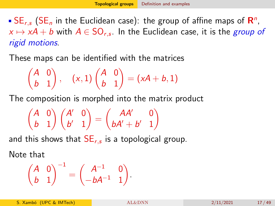<span id="page-16-0"></span> $\mathsf{SE}_{r,s}$  (SE<sub>n</sub> in the Euclidean case): the group of affine maps of  $\mathsf{R}^n$ ,  $\alpha \mapsto \mathsf{x} \mathsf{A} + \mathsf{b}$  with  $\mathsf{A} \in \mathsf{SO}_{r,s}.$  In the Euclidean case, it is the  $\mathsf{group}$  of rigid motions.

These maps can be identified with the matrices

$$
\begin{pmatrix} A & 0 \\ b & 1 \end{pmatrix}, \quad (x,1)\begin{pmatrix} A & 0 \\ b & 1 \end{pmatrix} = (xA + b, 1)
$$

The composition is morphed into the matrix product

$$
\begin{pmatrix} A & 0 \ b & 1 \end{pmatrix} \begin{pmatrix} A' & 0 \ b' & 1 \end{pmatrix} = \begin{pmatrix} AA' & 0 \ bA' + b' & 1 \end{pmatrix}
$$

and this shows that  $\mathsf{SE}_{r,s}$  is a topological group.

Note that

$$
\begin{pmatrix} A & 0 \ b & 1 \end{pmatrix}^{-1} = \begin{pmatrix} A^{-1} & 0 \ -bA^{-1} & 1 \end{pmatrix}.
$$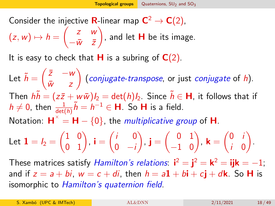<span id="page-17-0"></span>Consider the injective **R**-linear map  $C^2 \to C(2)$ ,  $(z, w) \mapsto h =$  $\begin{pmatrix} z & w \end{pmatrix}$  $-\bar{w}$   $\bar{z}$ Υ , and let  $\bm{\mathsf{H}}$  be its image.

It is easy to check that **H** is a subring of  $C(2)$ .

Let  $\tilde{h} = \begin{pmatrix} \bar{z} & -w \\ \bar{w} & z \end{pmatrix}$  $\bar{w}$  z  $\setminus$  $(\textit{conjugate-transpose}, \textit{or just conjugate of } h).$ Then  $h\tilde{h} = (z\bar{z} + w\bar{w})I_2 = det(h)I_2$ . Since  $\tilde{h} \in H$ , it follows that if  $h \neq 0$ , then  $\frac{1}{\det(h)}\tilde{h} = h^{-1} \in \mathsf{H}$ . So **H** is a field. Notation:  $\mathsf{H}^{\times} = \mathsf{H} - \{0\}$ , the *multiplicative group* of **H**.

Let 
$$
\mathbf{1} = I_2 = \begin{pmatrix} 1 & 0 \\ 0 & 1 \end{pmatrix}
$$
,  $\mathbf{i} = \begin{pmatrix} i & 0 \\ 0 & -i \end{pmatrix}$ ,  $\mathbf{j} = \begin{pmatrix} 0 & 1 \\ -1 & 0 \end{pmatrix}$ ,  $\mathbf{k} = \begin{pmatrix} 0 & i \\ i & 0 \end{pmatrix}$ .

These matrices satisfy *Hamilton's relations*:  $\mathbf{i}^2 = \mathbf{j}^2 = \mathbf{k}^2 = \mathbf{ijk} = -1$ ; and if  $z = a + bi$ ,  $w = c + di$ , then  $h = a\mathbf{1} + b\mathbf{i} + c\mathbf{j} + d\mathbf{k}$ . So H is isomorphic to Hamilton's quaternion field.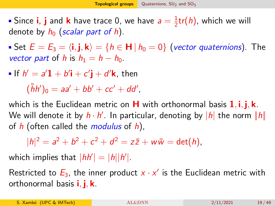Since **i**, **j** and **k** have trace 0, we have  $a = \frac{1}{2}$  $\frac{1}{2}$ tr $(h)$ , which we will denote by  $h_0$  (scalar part of h).

Set  $E = E_3 = \langle i, j, k \rangle = \{ h \in H | h_0 = 0 \}$  (vector quaternions). The vector part of h is  $h_1 = h - h_0$ .

If  $h' = a'\mathbf{1} + b'\mathbf{i} + c'\mathbf{j} + d'\mathbf{k}$ , then

 $(\tilde{h}h')_0 = aa' + bb' + cc' + dd',$ 

which is the Euclidean metric on  $H$  with orthonormal basis  $1, i, j, k$ . We will denote it by  $h\cdot h'$ . In particular, denoting by  $|h|$  the norm  $\|h\|$ of  $h$  (often called the *modulus* of  $h$ ),

 $|h|^2 = a^2 + b^2 + c^2 + d^2 = z\overline{z} + w\overline{w} = det(h),$ 

which implies that  $|h h'| = |h||h'|$ .

Restricted to  $E_3$ , the inner product  $x \cdot x'$  is the Euclidean metric with orthonormal basis  $\mathbf{i}, \mathbf{j}, \mathbf{k}$ .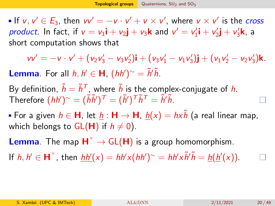If  $v, v' \in E_3$ , then  $vv' = -v \cdot v' + v \times v'$ , where  $v \times v'$  is the *cross* product. In fact, if  $v = v_1 \mathbf{i} + v_2 \mathbf{j} + v_3 \mathbf{k}$  and  $v' = v'_1 \mathbf{i} + v'_2 \mathbf{j} + v'_3 \mathbf{k}$ , a short computation shows that

 $vv' = -v \cdot v' + (v_2v_3' - v_3v_2')\mathbf{i} + (v_3v_1' - v_1v_3')\mathbf{j} + (v_1v_2' - v_2v_3')\mathbf{k}.$ **Lemma**. For all  $h, h' \in H$ ,  $(hh')^{\sim} = \tilde{h}'\tilde{h}$ .

By definition,  $\tilde{h} = \bar{h}^{\mathsf{T}}$ , where  $\bar{h}$  is the complex-conjugate of  $h$ . Therefore  $(hh')^{\sim} = (\bar{h}\bar{h}')^{\top} = (\bar{h}')^{\top}\bar{h}^{\top} = \tilde{h}'\tilde{h}$ .

For a given  $h \in H$ , let  $h : H \to H$ ,  $h(x) = hx \tilde{h}$  (a real linear map, which belongs to  $GL(H)$  if  $h \neq 0$ ).

**Lemma**. The map  $H^{\times} \to GL(H)$  is a group homomorphism.

If  $h, h' \in H^{\times}$ , then  $\frac{hh'}{k} = hh'x(hh')^{\sim} = hh'x\tilde{h}'\tilde{h} = \frac{h(h'(x))}{k}$ .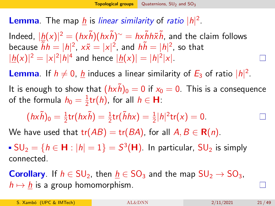**Lemma**. The map  $\underline{h}$  is linear similarity of ratio  $|h|^2$ .

Indeed,  $|\underline{h}(x)|^2 = (hx\tilde{h})(hx\tilde{h})^{\sim} = hx\tilde{h}h\tilde{x}\tilde{h}$ , and the claim follows because  $\tilde{h}h=|h|^2$ ,  $x\tilde{x}=|x|^2$ , and  $h\tilde{h}=|h|^2$ , so that  $|\underline{h}(x)|^2 = |x|^2|h|^4$  and hence  $|\underline{h}(x)| = |h|^2|x|.$ 

**Lemma**. If  $h \neq 0$ , <u>h</u> induces a linear similarity of  $E_3$  of ratio  $|h|^2$ .

It is enough to show that  $(hx\tilde{h})_0 = 0$  if  $x_0 = 0$ . This is a consequence of the formula  $h_0=\frac{1}{2}$  $\frac{1}{2}$ tr $(h)$ , for all  $h \in \mathbf{H}$ :

$$
(hx\tilde{h})_0 = \frac{1}{2}\text{tr}(hx\tilde{h}) = \frac{1}{2}\text{tr}(\tilde{h}hx) = \frac{1}{2}|h|^2\text{tr}(x) = 0.
$$

We have used that  $tr(AB) = tr(BA)$ , for all  $A, B \in \mathbf{R}(n)$ .

 $\mathsf{SU}_2 = \{h \in \mathsf{H}: |h| = 1\} = S^3(\mathsf{H}).$  In particular,  $\mathsf{SU}_2$  is simply connected.

**Corollary**. If  $h \in SU_2$ , then  $h \in SO_3$  and the map  $SU_2 \rightarrow SO_3$ ,  $h \mapsto h$  is a group homomorphism.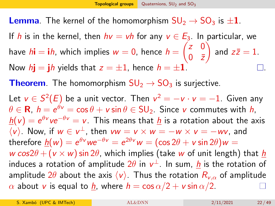**Lemma**. The kernel of the homomorphism  $SU_2 \rightarrow SO_3$  is  $\pm 1$ .

If h is in the kernel, then  $hv = vh$  for any  $v \in E_3$ . In particular, we have  $h$ **i**  $=$  **i** $h$ , which implies  $w = 0$ , hence  $h =$  $\begin{pmatrix} z & 0 \\ 0 & 0 \end{pmatrix}$  $0 \quad \bar{z}$  $\setminus$ and  $z\bar{z}=1$ . Now  $h\mathbf{i} = \mathbf{j}h$  yields that  $z = \pm 1$ , hence  $h = \pm 1$ .

**Theorem**. The homomorphism  $SU_2 \rightarrow SO_3$  is surjective.

Let  $v\in S^2(E)$  be a unit vector. Then  $v^2=-v\cdot v=-1$ . Given any  $\theta \in \mathbf{R},\ h = e^{\theta \mathbf{v}} = \cos \theta + \mathbf{v} \sin \theta \in \mathsf{SU}_2.$  Since  $\mathbf{v}$  commutes with  $h,$  $\underline{h}(\mathsf{v}) = \mathrm{e}^{\theta \mathsf{v}} \mathsf{v} \mathrm{e}^{-\theta \mathsf{v}} = \mathsf{v}$ . This means that  $\underline{h}$  is a rotation about the axis  $\langle v \rangle$ . Now, if  $w \in v^{\perp}$ , then  $vw = v \times w = -w \times v = -wv$ , and therefore  $\underline{h}(w)=e^{\theta\mathrm{\textit{v}}\,w e^{-\theta\mathrm{\textit{v}}}}=e^{2\theta\mathrm{\textit{v}}\,w}=(\cos2\theta+\mathrm{\textit{v}}\sin2\theta)w=0$ w cos2 $\theta$  + (v × w) sin 2 $\theta$ , which implies (take w of unit length) that h induces a rotation of amplitude  $2\theta$  in  $\mathsf{v}^\perp$ . In sum, <u>h</u> is the rotation of amplitude  $2\theta$  about the axis  $\langle v \rangle$ . Thus the rotation  $R_{v,\alpha}$  of amplitude  $\alpha$  about v is equal to  $h$ , where  $h = \cos \alpha/2 + v \sin \alpha/2$ .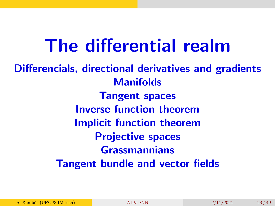# The differential realm

Differencials, directional derivatives and gradients **Manifolds** Tangent spaces Inverse function theorem Implicit function theorem Projective spaces Grassmannians Tangent bundle and vector fields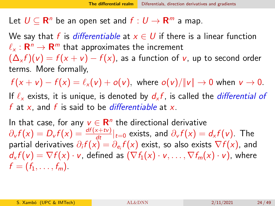<span id="page-23-0"></span>Let  $U \subseteq \mathbf{R}^n$  be an open set and  $f: U \to \mathbf{R}^m$  a map.

We say that f is differentiable at  $x \in U$  if there is a linear function  $\ell_{\mathsf{x}} : \mathbf{R}^n \to \mathbf{R}^m$  that approximates the increment  $(\Delta_x f)(v) = f(x + v) - f(x)$ , as a function of v, up to second order terms. More formally,

 $f(x + v) - f(x) = \ell_x(v) + o(v)$ , where  $o(v)/||v|| \to 0$  when  $v \to 0$ . If  $\ell_{\mathsf{x}}$  exists, it is unique, is denoted by  $d_{\mathsf{x}} f$ , is called the *differential of* f at x, and f is said to be *differentiable* at x.

In that case, for any  $v \in \mathbf{R}^n$  the directional derivative  $\partial_{\nu}f(x)=D_{\nu}f(x)=\frac{df(x+t\nu)}{dt}|_{t=0}$  exists, and  $\partial_{\nu}f(x)=d_{x}f(\nu)$ . The partial derivatives  $\partial_i f(x) = \partial_{e_i} f(x)$  exist, so also exists  $\nabla f(x)$ , and  $d_x f(v) = \nabla f(x) \cdot v$ , defined as  $(\nabla f_1(x) \cdot v, \dots, \nabla f_m(x) \cdot v)$ , where  $f = (f_1, \ldots, f_m).$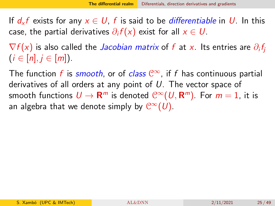If  $d_x f$  exists for any  $x \in U$ , f is said to be *differentiable* in U. In this case, the partial derivatives  $\partial_i f(x)$  exist for all  $x\in U.$ 

 $\nabla f(x)$  is also called the *Jacobian matrix* of  $f$  at  $x.$  Its entries are  $\partial_i f_j$  $(i \in [n], i \in [m])$ .

The function f is smooth, or of class  $\mathbb{C}^{\infty}$ , if f has continuous partial derivatives of all orders at any point of U. The vector space of smooth functions  $U\to {\sf R}^m$  is denoted  ${\mathbb C}^\infty(U,{\sf R}^m).$  For  $m=1,$  it is an algebra that we denote simply by  $\mathcal{C}^{\infty}(\mathcal{U})$ .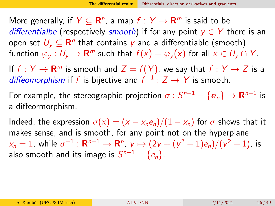More generally, if  $Y \subseteq \mathbf{R}^n$ , a map  $f: Y \to \mathbf{R}^m$  is said to be differentialbe (respectively smooth) if for any point  $y \in Y$  there is an open set  $U_{\mathsf y}\subseteq \mathsf R^n$  that contains  ${\mathsf y}$  and a differentiable (smooth) function  $\varphi_{y}:\mathsf{U}_{y}\to\mathsf{R}^m$  such that  $f(x)=\varphi_{y}(x)$  for all  $x\in\mathsf{U}_{y}\cap\mathsf{Y}.$ 

If  $f:Y\to{\sf R}^m$  is smooth and  $Z=f(Y)$ , we say that  $f:Y\to Z$  is a diffeomorphism if f is bijective and  $f^{-1}: Z \to Y$  is smooth.

For example, the stereographic projection  $\sigma : S^{n-1} - \{\boldsymbol{e}_n\} \rightarrow \boldsymbol{\mathsf{R}}^{n-1}$  is a diffeormorphism.

Indeed, the expression  $\sigma(x) = (x - x_ne_n)/(1 - x_n)$  for  $\sigma$  shows that it makes sense, and is smooth, for any point not on the hyperplane  $\alpha_n=1$ , while  $\sigma^{-1}:{\sf R}^{n-1}\to{\sf R}^n$ ,  $\,$   $\,$   $\mapsto (2y+(y^2-1)e_n)/(y^2+1)$ , is also smooth and its image is  $S^{n-1}-\{e_n\}.$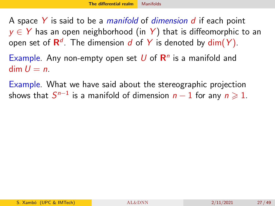<span id="page-26-1"></span><span id="page-26-0"></span>A space  $Y$  is said to be a *manifold* of *dimension d* if each point  $y \in Y$  has an open neighborhood (in Y) that is diffeomorphic to an open set of  $\mathsf{R}^d$ . The dimension  $d$  of  $Y$  is denoted by  $\dim(Y)$ .

Example. Any non-empty open set  $U$  of  $\mathbb{R}^n$  is a manifold and  $dim U = n$ .

Example. What we have said about the stereographic projection shows that  $S^{n-1}$  is a manifold of dimension  $n-1$  for any  $n \geqslant 1$ .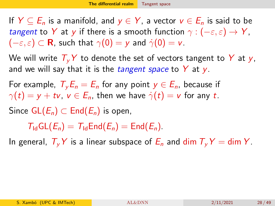<span id="page-27-0"></span>If  $Y \subseteq E_n$  is a manifold, and  $y \in Y$ , a vector  $v \in E_n$  is said to be tangent to Y at y if there is a smooth function  $\gamma : (-\varepsilon, \varepsilon) \to Y$ ,  $(-\varepsilon, \varepsilon) \subset \mathbf{R}$ , such that  $\gamma(0) = v$  and  $\dot{\gamma}(0) = v$ .

We will write  $T_vY$  to denote the set of vectors tangent to Y at y, and we will say that it is the *tangent space* to  $Y$  at  $y$ .

For example,  $T_v E_n = E_n$  for any point  $y \in E_n$ , because if  $\gamma(t) = v + tv$ ,  $v \in E_n$ , then we have  $\dot{\gamma}(t) = v$  for any t.

Since  $GL(E_n) \subset End(E_n)$  is open,

 $T_{\rm Id}$ GL $(E_n) = T_{\rm Id}$ End $(E_n) =$ End $(E_n)$ .

In general,  $T_vY$  is a linear subspace of  $E_n$  and dim  $T_vY = \dim Y$ .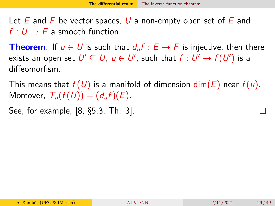<span id="page-28-0"></span>Let E and F be vector spaces, U a non-empty open set of E and  $f: U \rightarrow F$  a smooth function.

**Theorem.** If  $u \in U$  is such that  $d_u f : E \to F$  is injective, then there exists an open set  $\mathsf{U}'\subseteq\mathsf{U},\ u\in\mathsf{U}'$ , such that  $f:\mathsf{U}'\to f(\mathsf{U}')$  is a diffeomorfism.

This means that  $f(U)$  is a manifold of dimension  $\dim(E)$  near  $f(u)$ . Moreover,  $T_u(f(U)) = (d_u f)(E)$ .

See, for example, [\[8,](#page-48-2) §5.3, Th. 3].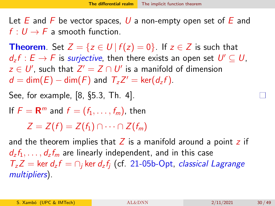<span id="page-29-0"></span>Let  $E$  and  $F$  be vector spaces, U a non-empty open set of  $E$  and  $f: U \rightarrow F$  a smooth function.

**Theorem**. Set  $Z = \{z \in U | f(z) = 0\}$ . If  $z \in Z$  is such that  $d_z f : E \to F$  is *surjective*, then there exists an open set  $U' \subseteq U$ ,  $z \in U'$ , such that  $Z' = Z \cap U'$  is a manifold of dimension  $d = \dim(E) - \dim(F)$  and  $T_z Z' = \ker(d_z f)$ .

See, for example, [\[8,](#page-48-2) §5.3, Th. 4].

If  $F = \mathbf{R}^m$  and  $f = (f_1, \ldots, f_m)$ , then

 $Z = Z(f) = Z(f_1) \cap \cdots \cap Z(f_m)$ 

and the theorem implies that  $Z$  is a manifold around a point  $z$  if  $d_7f_1, \ldots, d_7f_m$  are linearly independent, and in this case  $T_z Z = \text{ker } d_z f = \bigcap_i \text{ker } d_z f_i$  (cf. 21-05b-Opt, classical Lagrange multipliers).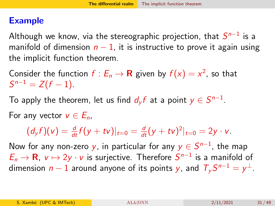#### Example

Although we know, via the stereographic projection, that  $S^{n-1}$  is a manifold of dimension  $n-1$ , it is instructive to prove it again using the implicit function theorem.

Consider the function  $f: E_n \to \mathbf{R}$  given by  $f(x) = x^2$ , so that  $S^{n-1} = Z(f-1).$ 

To apply the theorem, let us find  $d_yf$  at a point  $y\in S^{n-1}.$ 

For any vector  $v \in E_n$ .

 $(d_y f)(v) = \frac{d}{dt} f(y + tv)|_{t=0} = \frac{d}{dt} (y + tv)^2|_{t=0} = 2y \cdot v.$ 

Now for any non-zero  $y$ , in particular for any  $y\in S^{n-1}$ , the map  $E_n \to \mathbf{R}$ ,  $v \mapsto 2y \cdot v$  is surjective. Therefore  $S^{n-1}$  is a manifold of dimension  $n-1$  around anyone of its points  $y$ , and  $\mathcal{T}_y S^{n-1} = y^\perp$ .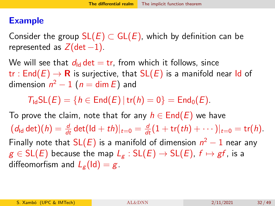#### Example

Consider the group  $SL(E) \subset GL(E)$ , which by definition can be represented as  $Z(det -1)$ .

We will see that  $d_{\text{Id}}$  det = tr, from which it follows, since tr : End(E)  $\rightarrow$  R is surjective, that SL(E) is a manifold near Id of dimension  $n^2-1$   $(n=\dim E)$  and

 $T_{1d}SL(E) = \{h \in End(E) | tr(h) = 0\} = End_0(E).$ 

To prove the claim, note that for any  $h \in \text{End}(E)$  we have  $(d_{\mathsf{Id}} \det)(h) = \frac{d}{dt} \det(\mathsf{Id} + t h)|_{t=0} = \frac{d}{dt}(1 + \mathsf{tr}(t h) + \cdots)|_{t=0} = \mathsf{tr}(h).$ Finally note that SL(E) is a manifold of dimension  $n^2-1$  near any  $g \in SL(E)$  because the map  $L_g : SL(E) \rightarrow SL(E)$ ,  $f \mapsto gf$ , is a diffeomorfism and  $L_{g}$ (Id) = g.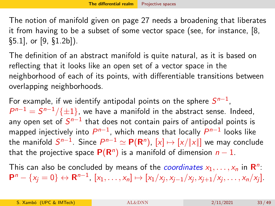<span id="page-32-0"></span>The notion of manifold given on page [27](#page-26-1) needs a broadening that liberates it from having to be a subset of some vector space (see, for instance, [\[8,](#page-48-2) §5.1], or [\[9,](#page-48-3) §1.2b]).

The definition of an abstract manifold is quite natural, as it is based on reflecting that it looks like an open set of a vector space in the neighborhood of each of its points, with differentiable transitions between overlapping neighborhoods.

For example, if we identify antipodal points on the sphere  $S^{n-1}$ ,  $P^{n-1} = S^{n-1}/\{\pm 1\}$ , we have a manifold in the abstract sense. Indeed, any open set of  $\mathcal{S}^{n-1}$  that does not contain pairs of antipodal points is mapped injectively into  $P^{n-1}$ , which means that locally  $P^{n-1}$  looks like the manifold  $S^{n-1}.$  Since  $P^{n-1}\simeq \mathsf{P}(\mathsf{R}^n)$ ,  $[x]\mapsto [x/\|x\|]$  we may conclude that the projective space  $P(R^n)$  is a manifold of dimension  $n-1$ .

This can also be concluded by means of the *coordinates*  $x_1, \ldots, x_n$  in  $\mathbb{R}^n$ :  $\mathsf{P}^n - \{x_j = 0\} \leftrightarrow \mathsf{R}^{n-1}, [x_1, \ldots, x_n] \mapsto [x_1/x_j, x_{j-1}/x_j, x_{j+1}/x_j, \ldots, x_n/x_j].$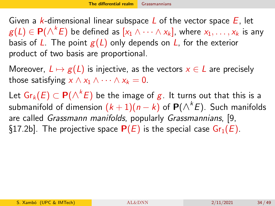<span id="page-33-0"></span>Given a k-dimensional linear subspace L of the vector space  $E$ , let  $g(L) \in \mathbf{P}(\bigwedge^k E)$  be defined as  $[x_1 \wedge \cdots \wedge x_k]$ , where  $x_1, \ldots, x_k$  is any basis of L. The point  $g(L)$  only depends on L, for the exterior product of two basis are proportional.

Moreover,  $L \mapsto g(L)$  is injective, as the vectors  $x \in L$  are precisely those satisfying  $x \wedge x_1 \wedge \cdots \wedge x_k = 0$ .

Let  $\mathsf{Gr}_k(E) \subset \mathsf{P}(\triangle^k E)$  be the image of  $\bm{g}.$  It turns out that this is a submanifold of dimension  $(k+1)(n-k)$  of  $\mathsf{P}(\triangle^k E).$  Such manifolds are called Grassmann manifolds, popularly Grassmannians, [\[9,](#page-48-3) §17.2b]. The projective space  $P(E)$  is the special case  $Gr_1(E)$ .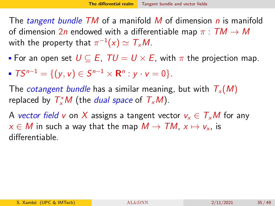<span id="page-34-0"></span>The tangent bundle TM of a manifold M of dimension n is manifold of dimension  $2n$  endowed with a differentiable map  $\pi : TM \rightarrow M$ with the property that  $\pi^{-1}(x) \simeq \mathcal{T}_{\mathsf{x}}\mathcal{M}.$ 

- For an open set  $U \subseteq E$ .  $TU = U \times E$ , with  $\pi$  the projection map.
- $TS^{n-1} = \{(y, v) \in S^{n-1} \times \mathbb{R}^n : y \cdot v = 0\}.$

The *cotangent bundle* has a similar meaning, but with  $T_{x}(M)$ replaced by  $T^*_xM$  (the *dual space* of  $T_xM$ ).

A vector field v on X assigns a tangent vector  $v_x \in T_xM$  for any  $x \in M$  in such a way that the map  $M \to TM$ ,  $x \mapsto v_x$ , is differentiable.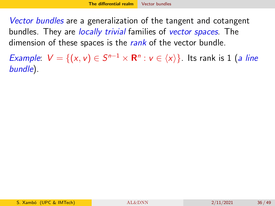<span id="page-35-0"></span>Vector bundles are a generalization of the tangent and cotangent bundles. They are *locally trivial* families of *vector spaces*. The dimension of these spaces is the rank of the vector bundle.

*Example:*  $V = \{(x, v) \in S^{n-1} \times \mathbb{R}^n : v \in \langle x \rangle\}$ . Its rank is 1 (*a line* bundle).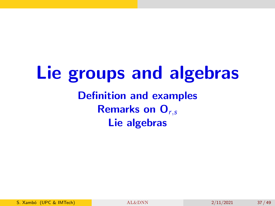## Lie groups and algebras Definition and examples **Remarks on**  $O_{r,s}$ Lie algebras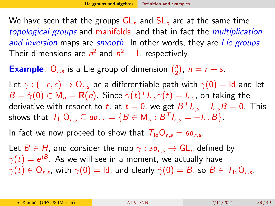<span id="page-37-0"></span>We have seen that the groups  $GL_n$  and  $SL_n$  are at the same time topological groups and manifolds, and that in fact the multiplication and inversion maps are smooth. In other words, they are Lie groups. Their dimensions are  $n^2$  and  $n^2-1$ , respectively.

**Example**. O<sub>r,s</sub> is a Lie group of dimension  $\binom{n}{2}$  $n \choose 2$ ,  $n = r + s$ .

Let  $\gamma: (-\epsilon, \epsilon) \to \mathsf{O}_{r,s}$  be a differentiable path with  $\gamma(0) = \mathsf{Id}$  and let  $B=\dot{\gamma}(0)\in \mathsf{M}_n=\mathbf{R}(n).$  Since  $\gamma(t)^{\mathsf{T}} I_{r,s}\gamma(t)=I_{r,s} ,$  on taking the derivative with respect to  $t$ , at  $t=0$ , we get  $B^\mathcal{T} \mathit{I}_{r,s} + \mathit{I}_{r,s} B = 0$ . This shows that  $T_{\mathsf{Id}}\mathsf{O}_{r,s}\subseteq\mathfrak{so}_{r,s}=\{B\in\mathsf{M}_n:B^{\mathsf{T}}I_{r,s}=-I_{r,s}B\}.$ 

In fact we now proceed to show that  $T_{\text{Id}}O_{r,s} = \mathfrak{so}_{r,s}$ .

Let  $B \in H$ , and consider the map  $\gamma : \mathfrak{so}_{r,s} \to GL_n$  defined by  $\gamma(t)=e^{t{\cal B}}.$  As we will see in a moment, we actually have  $\gamma(t)\in \mathsf{O}_{r,\mathsf{s}},$  with  $\gamma(0)=\mathsf{Id},$  and clearly  $\dot\gamma(0)=B$ , so  $B\in\mathcal{T}_{\mathsf{Id}}\mathsf{O}_{r,\mathsf{s}}.$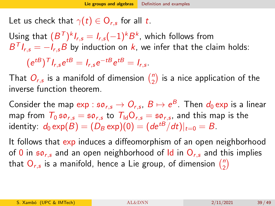Let us check that  $\gamma(t)\in\mathsf{O}_{r,s}$  for all  $t.$ 

Using that  $(B^{\mathsf{T}})^k I_{r,s} = I_{r,s}(-1)^k B^k$ , which follows from  $B^T I_{r,s} = -I_{r,s} B$  by induction on  $k$ , we infer that the claim holds:

$$
(e^{tB})^T I_{r,s}e^{tB}=I_{r,s}e^{-tB}e^{tB}=I_{r,s}.
$$

That  $O_{r,s}$  is a manifold of dimension  $\binom{n}{2}$  $\binom{n}{2}$  is a nice application of the inverse function theorem.

Consider the map  $\exp:\mathfrak{so}_{r,s}\to O_{r,s},\ B\mapsto e^B.$  Then  $d_0\exp$  is a linear map from  $T_0 \, \mathfrak{so}_{r,s} = \mathfrak{so}_{r,s}$  to  $T_{\mathsf{Id}}\mathsf{O}_{r,s} = \mathfrak{so}_{r,s},$  and this map is the identity:  $d_0 \exp(B) = (D_B \exp)(0) = (de^{tB}/dt)|_{t=0} = B$ .

It follows that  $exp$  induces a diffeomorphism of an open neighborhood of 0 in  $50<sub>rs</sub>$  and an open neighborhood of Id in  $O<sub>rs</sub>$  and this implies that  $\mathrm{O}_{r,s}$  is a manifold, hence a Lie group, of dimension  $\binom{n}{2}$  $\binom{n}{2}$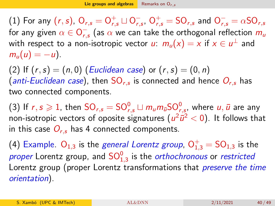<span id="page-39-0"></span>(1) For any  $(r, s)$ ,  $O_{r,s} = O_{r,s}^+ \sqcup O_{r,s}^ _{r,s}^{-},\,\mathrm{O}_{r,s}^{+}=\mathrm{SO}_{r,s}$  and  $\mathrm{O}_{r,s}^{-}=\alpha\mathrm{SO}_{r,s}$ for any given  $\alpha \in \mathsf{O}_{r,\mathsf{O}}^{+}$  $_{r,s}^-$  (as  $\alpha$  we can take the orthogonal reflection  $m_\mu$ with respect to a non-isotropic vector  $u\colon m_u(x)=x$  if  $x\in u^\perp$  and  $m_u(u) = -u$ ).

(2) If  $(r, s) = (n, 0)$  (Euclidean case) or  $(r, s) = (0, n)$ (*anti-Euclidean case*), then  $\mathrm{SO}_{r,s}$  is connected and hence  $O_{r,s}$  has two connected components.

(3) If  $r,s\geqslant 1$ , then  $\mathsf{SO}_{r,s}=\mathsf{SO}_{r,s}^0\sqcup m_\mathsf{u}m_{\overline{\mathsf{u}}}\mathsf{SO}_{r,s}^0,$  where  $\mathsf{u},\bar{\mathsf{u}}$  are any non-isotropic vectors of oposite signatures  $(u^2 \bar{u}^2 < 0).$  It follows that in this case  $O_{r,s}$  has 4 connected components.

(4) Example.  $\mathsf{O}_{1,3}$  is the *general Lorentz group*,  $\mathsf{O}_{1,3}^+ = \mathsf{SO}_{1,3}$  is the *proper* Lorentz group, and  $\mathsf{SO}_{1,3}^0$  is the *orthochronous* or *restricted* Lorentz group (proper Lorentz transformations that *preserve the time* orientation).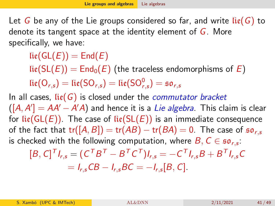<span id="page-40-0"></span>Let G be any of the Lie groups considered so far, and write  $\text{li}\,(G)$  to denote its tangent space at the identity element of  $G$ . More specifically, we have:

 $lie(GL(E)) = End(E)$ 

 $\text{li}\epsilon(\text{SL}(E)) = \text{End}_{0}(E)$  (the traceless endomorphisms of E)  $\text{lie}(\textsf{O}_{r,s}) = \text{lie}(\textsf{SO}_{r,s}) = \text{lie}(\textsf{SO}_{r,s}^0) = \mathfrak{so}_{r,s}$ 

In all cases,  $\text{li}(G)$  is closed under the *commutator bracket*  $([A, A'] = AA' - A'A)$  and hence it is a Lie algebra. This claim is clear for lie( $GL(E)$ ). The case of lie( $SL(E)$ ) is an immediate consequence of the fact that  $tr([A, B]) = tr(AB) - tr(BA) = 0$ . The case of  $\mathfrak{so}_{rs}$ is checked with the following computation, where  $B,$   $C\in \mathfrak{so}_{r,s}\mathfrak{:}$ 

$$
[B, C]^T I_{r,s} = (C^T B^T - B^T C^T) I_{r,s} = -C^T I_{r,s} B + B^T I_{r,s} C
$$
  
=  $I_{r,s} C B - I_{r,s} B C = -I_{r,s} [B, C].$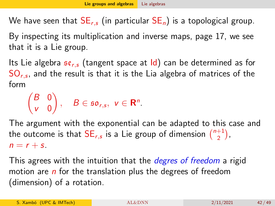We have seen that  $SE_{r,s}$  (in particular  $SE_n$ ) is a topological group. By inspecting its multiplication and inverse maps, page [17,](#page-16-0) we see that it is a Lie group.

Its Lie algebra  $\mathfrak{se}_{rs}$  (tangent space at Id) can be determined as for  $\mathsf{SO}_{r,s}$ , and the result is that it is the Lia algebra of matrices of the form

$$
\begin{pmatrix} B & 0 \\ v & 0 \end{pmatrix}, \quad B \in \mathfrak{so}_{r,s}, \ v \in \mathbf{R}^n.
$$

The argument with the exponential can be adapted to this case and the outcome is that  $\mathsf{SE}_{r,s}$  is a Lie group of dimension  $\binom{n+1}{2}$  $\binom{+1}{2}$ ,  $n = r + s$ .

This agrees with the intuition that the *degres of freedom* a rigid motion are  $n$  for the translation plus the degrees of freedom (dimension) of a rotation.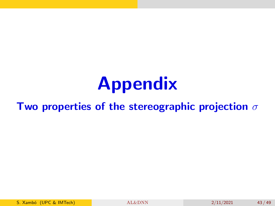# Appendix

#### Two properties of the stereographic projection  $\sigma$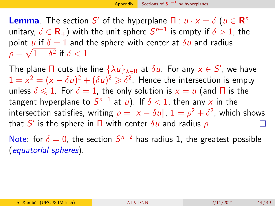<span id="page-43-0"></span>**Lemma**. The section S' of the hyperplane  $\Pi : u \cdot x = \delta$  ( $u \in \mathbb{R}^n$ unitary,  $\delta \in \mathbf{R}_+$ ) with the unit sphere  $\mathcal{S}^{n-1}$  is empty if  $\delta > 1$ , the point  $u$  if  $\delta = 1$  and the sphere with center at  $\delta u$  and radius  $\rho=\sqrt{1-\delta^2}$  if  $\delta < 1$ 

The plane  $\Pi$  cuts the line  $\{\lambda u\}_{\lambda\in{\bf R}}$  at  $\delta u.$  For any  $x\in S',$  we have  $1 = x^2 = (x - \delta u)^2 + (\delta u)^2 \geqslant \delta^2$ . Hence the intersection is empty unless  $\delta \leq 1$ . For  $\delta = 1$ , the only solution is  $x = u$  (and  $\Pi$  is the tangent hyperplane to  $\mathcal{S}^{n-1}$  at  $u)$ . If  $\delta < 1$ , then any  $x$  in the intersection satisfies, writing  $\rho = \|\mathsf{x} - \delta \mathsf{u}\|$ ,  $1 = \rho^2 + \delta^2$ , which shows that  $S'$  is the sphere in  $\Pi$  with center  $\delta u$  and radius  $\rho.$ 

Note: for  $\delta = 0$ , the section  $S^{n-2}$  has radius 1, the greatest possible (equatorial spheres).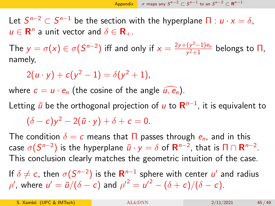<span id="page-44-0"></span>Let  $S^{n-2}\subset S^{n-1}$  be the section with the hyperplane  $\Pi: u\cdot x=\delta,$  $u \in \mathbf{R}^n$  a unit vector and  $\delta \in \mathbf{R}_+$ .

The  $y = \sigma(x) \in \sigma(S^{n-2})$  iff and only if  $x = \frac{2y + (y^2 - 1)e_n}{y^2 + 1}$  $\frac{(y^2-1)e_n}{y^2+1}$  belongs to  $\Pi$ , namely,

$$
2(u \cdot y) + c(y^2 - 1) = \delta(y^2 + 1),
$$

where  $c = u \cdot e_n$  (the cosine of the angle  $\widehat{u, e_n}$ ).

Letting  $\bar{u}$  be the orthogonal projection of  $u$  to  ${\sf R}^{n-1}$ , it is equivalent to

 $(\delta - c)y^2 - 2(\bar{u} \cdot y) + \delta + c = 0.$ 

The condition  $\delta = c$  means that  $\prod$  passes through  $e_n$ , and in this case  $\sigma(S^{n-2})$  is the hyperplane  $\bar{\pmb{u}}\cdot \pmb{y}=\delta$  of  $\pmb{\mathsf{R}}^{n-2}$ , that is  $\pmb{\mathsf{\Pi}} \cap \pmb{\mathsf{R}}^{n-2}.$ This conclusion clearly matches the geometric intuition of the case.

If  $\delta \neq c$ , then  $\sigma(S^{n-2})$  is the  ${\bf R}^{n-1}$  sphere with center  $u'$  and radius  $\rho'$ , where  $u' = \bar{u}/(\delta - c)$  and  $\rho'^2 = u'^2 - (\delta + c)/(\delta - c)$ .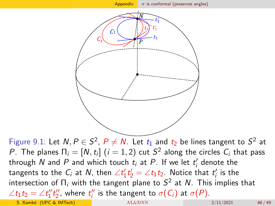<span id="page-45-0"></span>

Figure 9.1: Let  $N, P \in S^2$ ,  $P \neq N$ . Let  $t_1$  and  $t_2$  be lines tangent to  $S^2$  at P. The planes  $\Pi_i=[N,t_i]~(i=1,2)$  cut  $S^2$  along the circles  $C_i$  that pass through  $N$  and  $P$  and which touch  $t_i$  at  $P$ . If we let  $t_i^{\prime}$  denote the tangents to the  $C_i$  at  $N$ , then  $\angle t_1't_2' = \angle t_1t_2$ . Notice that  $t_i'$  is the intersection of  $\Pi_i$  with the tangent plane to  $\mathcal{S}^2$  at  $\mathcal{N}.$  This implies that  $\angle t_1 t_2 = \angle t_1'' t_2''$ , where  $t_i''$  is the tangent to  $\sigma(C_i)$  at  $\sigma(P)$ . S. Xambó (UPC & IMTech) [AL&DNN](#page-0-0) 2/11/2021 46/49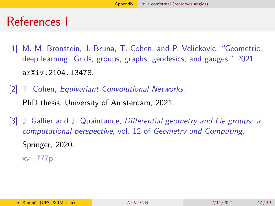### References I

- <span id="page-46-0"></span>[1] M. M. Bronstein, J. Bruna, T. Cohen, and P. Velickovic, "Geometric deep learning: Grids, groups, graphs, geodesics, and gauges," 2021. <arXiv:2104.13478>.
- <span id="page-46-1"></span>[2] T. Cohen, Equivariant Convolutional Networks. PhD thesis, University of Amsterdam, 2021.
- <span id="page-46-2"></span>[3] J. Gallier and J. Quaintance, Differential geometry and Lie groups: a computational perspective, vol. 12 of Geometry and Computing. Springer, 2020.

xv+777p.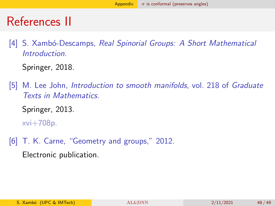## References II

<span id="page-47-0"></span>[4] S. Xambó-Descamps, Real Spinorial Groups: A Short Mathematical Introduction.

Springer, 2018.

<span id="page-47-1"></span>[5] M. Lee John, Introduction to smooth manifolds, vol. 218 of Graduate Texts in Mathematics.

Springer, 2013.

xvi+708p.

<span id="page-47-2"></span>[6] T. K. Carne, "Geometry and groups," 2012.

Electronic publication.